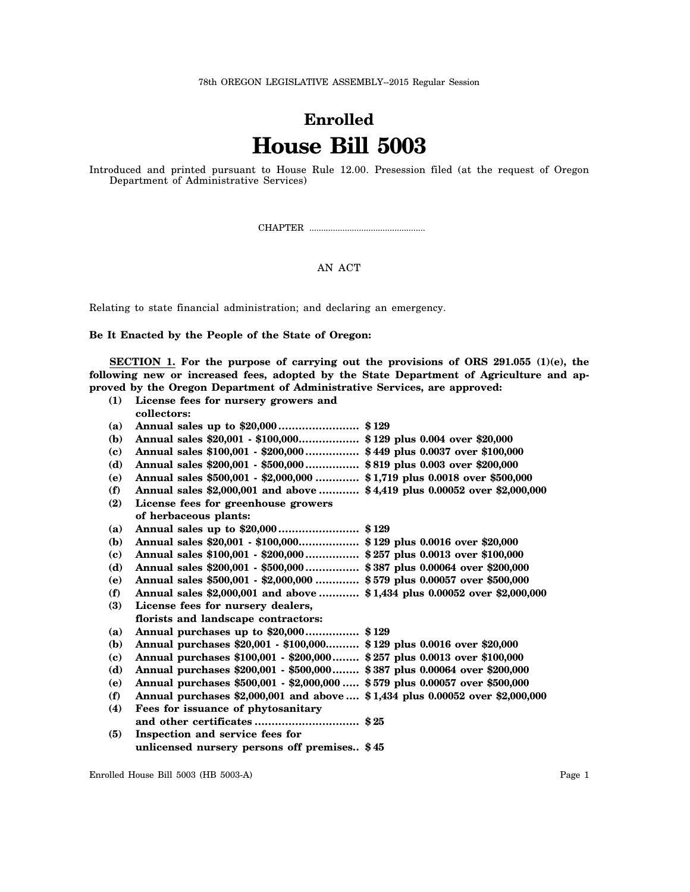78th OREGON LEGISLATIVE ASSEMBLY--2015 Regular Session

## **Enrolled House Bill 5003**

Introduced and printed pursuant to House Rule 12.00. Presession filed (at the request of Oregon Department of Administrative Services)

CHAPTER .................................................

## AN ACT

Relating to state financial administration; and declaring an emergency.

**Be It Enacted by the People of the State of Oregon:**

**SECTION 1. For the purpose of carrying out the provisions of ORS 291.055 (1)(e), the following new or increased fees, adopted by the State Department of Agriculture and approved by the Oregon Department of Administrative Services, are approved:**

| (1) | License fees for nursery growers and                                          |  |
|-----|-------------------------------------------------------------------------------|--|
|     | collectors:                                                                   |  |
| (a) |                                                                               |  |
| (b) | Annual sales \$20,001 - \$100,000 \$129 plus 0.004 over \$20,000              |  |
| (c) | Annual sales \$100,001 - \$200,000 \$449 plus 0.0037 over \$100,000           |  |
| (d) | Annual sales \$200,001 - \$500,000 \$819 plus 0.003 over \$200,000            |  |
| (e) | Annual sales \$500,001 - \$2,000,000  \$1,719 plus 0.0018 over \$500,000      |  |
| (f) | Annual sales \$2,000,001 and above  \$4,419 plus 0.00052 over \$2,000,000     |  |
| (2) | License fees for greenhouse growers                                           |  |
|     | of herbaceous plants:                                                         |  |
| (a) |                                                                               |  |
| (b) | Annual sales \$20,001 - \$100,000 \$129 plus 0.0016 over \$20,000             |  |
| (c) | Annual sales \$100,001 - \$200,000 \$257 plus 0.0013 over \$100,000           |  |
| (d) | Annual sales \$200,001 - \$500,000 \$387 plus 0.00064 over \$200,000          |  |
| (e) | Annual sales \$500,001 - \$2,000,000  \$579 plus 0.00057 over \$500,000       |  |
| (f) | Annual sales \$2,000,001 and above  \$1,434 plus 0.00052 over \$2,000,000     |  |
| (3) | License fees for nursery dealers,                                             |  |
|     | florists and landscape contractors:                                           |  |
| (a) | Annual purchases up to \$20,000 \$129                                         |  |
| (b) | Annual purchases \$20,001 - \$100,000 \$129 plus 0.0016 over \$20,000         |  |
| (c) | Annual purchases \$100,001 - \$200,000 \$257 plus 0.0013 over \$100,000       |  |
| (d) | Annual purchases \$200,001 - \$500,000 \$387 plus 0.00064 over \$200,000      |  |
| (e) | Annual purchases \$500,001 - \$2,000,000  \$579 plus 0.00057 over \$500,000   |  |
| (f) | Annual purchases \$2,000,001 and above  \$1,434 plus 0.00052 over \$2,000,000 |  |
| (4) | Fees for issuance of phytosanitary                                            |  |
|     |                                                                               |  |
| (5) | Inspection and service fees for                                               |  |
|     | unlicensed nursery persons off premises \$45                                  |  |
|     |                                                                               |  |

Enrolled House Bill 5003 (HB 5003-A) Page 1